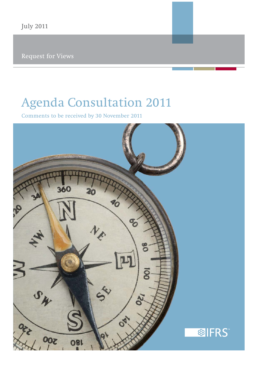**Request for Views**

# **Agenda Consultation 2011**

Comments to be received by 30 November 2011

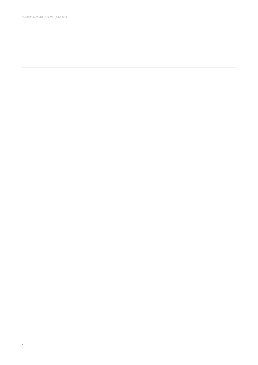AGENDA CONSULTATION | JULY 2011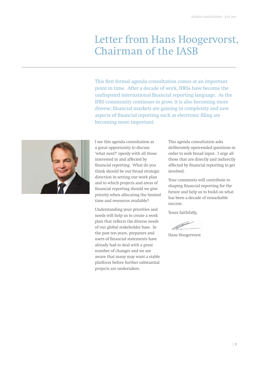## Letter from Hans Hoogervorst, Chairman of the IASB

This first formal agenda consultation comes at an important **point in time. After a decade of work, IFRSs have become the undisputed international financial reporting language. As the IFRS community continues to grow, it is also becoming more**  diverse; financial markets are gaining in complexity and new aspects of financial reporting such as electronic filing are **becoming more important.** 



I see this agenda consultation as a great opportunity to discuss 'what next?' openly with all those interested in and affected by financial reporting. What do you think should be our broad strategic direction in setting our work plan and to which projects and areas of financial reporting should we give priority when allocating the limited time and resources available?

Understanding your priorities and needs will help us to create a work plan that reflects the diverse needs of our global stakeholder base. In the past ten years, preparers and users of financial statements have already had to deal with a great number of changes and we are aware that many may want a stable platform before further substantial projects are undertaken.

This agenda consultation asks deliberately open-ended questions in order to seek broad input. I urge all those that are directly and indirectly affected by financial reporting to get involved.

Your comments will contribute to shaping financial reporting for the future and help us to build on what has been a decade of remarkable success.

Yours faithfully,

**Hans Hoogervorst**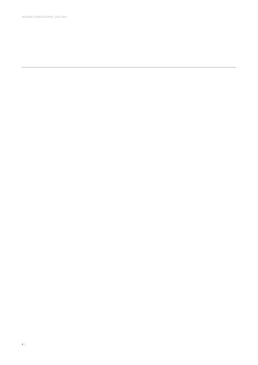AGENDA CONSULTATION | JULY 2011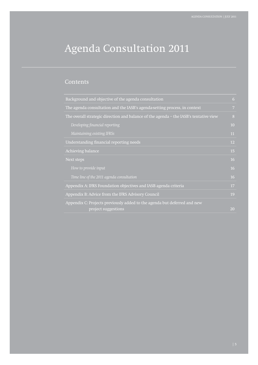# Agenda Consultation 2011

## **Contents**

| Background and objective of the agenda consultation                                             | 6              |
|-------------------------------------------------------------------------------------------------|----------------|
| The agenda consultation and the IASB's agenda-setting process, in context                       | $\overline{7}$ |
| The overall strategic direction and balance of the agenda $-$ the IASB's tentative view         | 8              |
| Developing financial reporting                                                                  | 10             |
| Maintaining existing IFRSs                                                                      | 11             |
| Understanding financial reporting needs                                                         | 12             |
| Achieving balance                                                                               | 15             |
| Next steps                                                                                      | 16             |
| How to provide input                                                                            | 16             |
| Time line of the 2011 agenda consultation                                                       | 16             |
| Appendix A: IFRS Foundation objectives and IASB agenda criteria                                 | 17             |
| Appendix B: Advice from the IFRS Advisory Council                                               | 19             |
| Appendix C: Projects previously added to the agenda but deferred and new<br>project suggestions | 20             |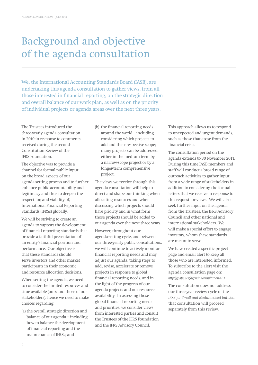# Background and objective of the agenda consultation

**We, the International Accounting Standards Board (IASB), are undertaking this agenda consultation to gather views, from all**  those interested in financial reporting, on the strategic direction **and overall balance of our work plan, as well as on the priority of individual projects or agenda areas over the next three years.** 

The Trustees introduced the three-yearly agenda consultation in 2010 in response to comments received during the second Constitution Review of the IFRS Foundation.

The objective was to provide a channel for formal public input on the broad aspects of our agenda-setting process and to further enhance public accountability and legitimacy and thus to deepen the respect for, and viability of, International Financial Reporting Standards (IFRSs) globally.

We will be striving to create an agenda to support the development of financial reporting standards that provide a faithful presentation of an entity's financial position and performance. Our objective is that these standards should serve investors and other market participants in their economic and resource allocation decisions.

When setting the agenda, we need to consider the limited resources and time available (ours and those of our stakeholders); hence we need to make choices regarding:

(a) the overall strategic direction and balance of our agenda – including how to balance the development of financial reporting and the maintenance of IFRSs; and

(b) the financial reporting needs around the world – including considering which projects to add and their respective scope; many projects can be addressed either in the medium term by a narrow-scope project or by a longer-term comprehensive project.

The views we receive through this agenda consultation will help to direct and shape our thinking when allocating resources and when discussing which projects should have priority and in what form those projects should be added to our agenda over the next three years.

However, throughout our agenda-setting cycle, and between our three-yearly public consultations, we will continue to actively monitor financial reporting needs and may adjust our agenda, taking steps to add, revise, accelerate or remove projects in response to global financial reporting needs, and in the light of the progress of our agenda projects and our resource availability. In assessing those global financial reporting needs and priorities, we consider views from interested parties and consult the Trustees of the IFRS Foundation and the IFRS Advisory Council.

This approach allows us to respond to unexpected and urgent demands, such as those that arose from the financial crisis.

The consultation period on the agenda extends to 30 November 2011. During this time IASB members and staff will conduct a broad range of outreach activities to gather input from a wide range of stakeholders in addition to considering the formal letters that we receive in response to this request for views. We will also seek further input on the agenda from the Trustees, the IFRS Advisory Council and other national and international stakeholders. We will make a special effort to engage investors, whom these standards are meant to serve.

We have created a specific project page and email alert to keep all those who are interested informed. To subscribe to the alert visit the agenda consultation page on: *http://go.ifrs.org/agenda+consultation2011*

The consultation does not address our three-year review cycle of the *IFRS for Small and Medium-sized Entities;* that consultation will proceed separately from this review.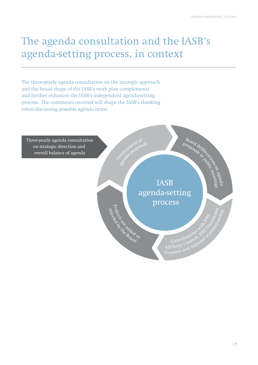# The agenda consultation and the IASB's agenda-setting process, in context

**The three-yearly agenda consultation on the strategic approach and the broad shape of the IASB's work plan complements and further enhances the IASB's independent agenda-setting process. The comments received will shape the IASB's thinking when discussing possible agenda items.**

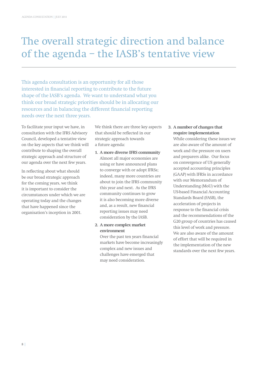# The overall strategic direction and balance of the agenda – the IASB's tentative view

**This agenda consultation is an opportunity for all those interested in financial reporting to contribute to the future shape of the IASB's agenda. We want to understand what you think our broad strategic priorities should be in allocating our**  resources and in balancing the different financial reporting **needs over the next three years.**

To facilitate your input we have, in consultation with the IFRS Advisory Council, developed a tentative view on the key aspects that we think will contribute to shaping the overall strategic approach and structure of our agenda over the next few years.

In reflecting about what should be our broad strategic approach for the coming years, we think it is important to consider the circumstances under which we are operating today and the changes that have happened since the organisation's inception in 2001.

We think there are three key aspects that should be reflected in our strategic approach towards a future agenda:

**1. A more diverse IFRS community**  Almost all major economies are using or have announced plans to converge with or adopt IFRSs; indeed, many more countries are about to join the IFRS community this year and next. As the IFRS community continues to grow it is also becoming more diverse and, as a result, new financial reporting issues may need consideration by the IASB.

## **2. A more complex market environment**

Over the past ten years financial markets have become increasingly complex and new issues and challenges have emerged that may need consideration.

**3. A number of changes that require implementation**  While considering these issues we are also aware of the amount of work and the pressure on users and preparers alike. Our focus on convergence of US generally accepted accounting principles (GAAP) with IFRSs in accordance with our Memorandum of Understanding (MoU) with the US-based Financial Accounting Standards Board (FASB), the acceleration of projects in response to the financial crisis and the recommendations of the G20 group of countries has caused this level of work and pressure. We are also aware of the amount of effort that will be required in the implementation of the new standards over the next few years.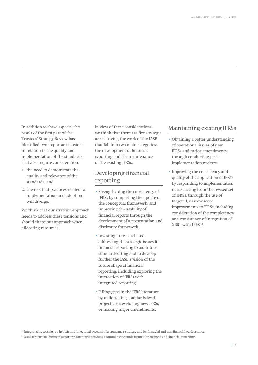In addition to these aspects, the result of the first part of the Trustees' Strategy Review has identified two important tensions in relation to the quality and implementation of the standards that also require consideration:

- 1. the need to demonstrate the quality and relevance of the standards; and
- 2. the risk that practices related to implementation and adoption will diverge.

We think that our strategic approach needs to address these tensions and should shape our approach when allocating resources.

In view of these considerations, we think that there are five strategic areas driving the work of the IASB that fall into two main categories: the development of financial reporting and the maintenance of the existing IFRSs.

## Developing financial reporting

- Strengthening the consistency of IFRSs by completing the update of the conceptual framework, and improving the usability of financial reports through the development of a presentation and disclosure framework.
- Investing in research and addressing the strategic issues for financial reporting to aid future standard-setting and to develop further the IASB's vision of the future shape of financial reporting, including exploring the interaction of IFRSs with integrated reporting<sup>1</sup>.
- Filling gaps in the IFRS literature by undertaking standards-level projects, ie developing new IFRSs or making major amendments.

## Maintaining existing IFRSs

- Obtaining a better understanding of operational issues of new IFRSs and major amendments through conducting postimplementation reviews.
- Improving the consistency and quality of the application of IFRSs by responding to implementation needs arising from the revised set of IFRSs, through the use of targeted, narrow-scope improvements to IFRSs, including consideration of the completeness and consistency of integration of XBRL with IFRSs<sup>2</sup>.

<sup>&</sup>lt;sup>1</sup> Integrated reporting is a holistic and integrated account of a company's strategy and its financial and non-financial performance.

 $2$  XBRL (eXtensible Business Reporting Language) provides a common electronic format for business and financial reporting.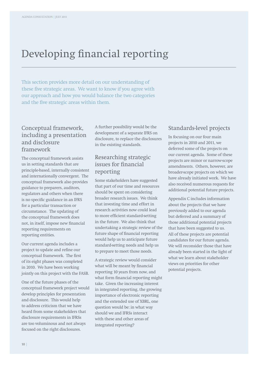## Developing financial reporting

**This section provides more detail on our understanding of**  these five strategic areas. We want to know if you agree with **our approach and how you would balance the two categories**  and the five strategic areas within them.

## Conceptual framework, including a presentation and disclosure framework

The conceptual framework assists us in setting standards that are principle-based, internally consistent and internationally convergent. The conceptual framework also provides guidance to preparers, auditors, regulators and others when there is no specific guidance in an IFRS for a particular transaction or circumstance. The updating of the conceptual framework does not, in itself, impose new financial reporting requirements on reporting entities.

Our current agenda includes a project to update and refine our conceptual framework. The first of its eight phases was completed in 2010. We have been working jointly on this project with the FASB.

One of the future phases of the conceptual framework project would develop principles for presentation and disclosure. This would help to address criticism that we have heard from some stakeholders that disclosure requirements in IFRSs are too voluminous and not always focused on the right disclosures.

A further possibility would be the development of a separate IFRS on disclosure, to replace the disclosures in the existing standards.

## Researching strategic issues for financial reporting

Some stakeholders have suggested that part of our time and resources should be spent on considering broader research issues. We think that investing time and effort in research activities now could lead to more efficient standard-setting in the future. We also think that undertaking a strategic review of the future shape of financial reporting would help us to anticipate future standard-setting needs and help us to prepare to meet those needs.

A strategic review would consider what will be meant by financial reporting 10 years from now, and what form financial reporting might take. Given the increasing interest in integrated reporting, the growing importance of electronic reporting and the extended use of XBRL, one question would be: in what way should we and IFRSs interact with these and other areas of integrated reporting?

## Standards-level projects

In focusing on our four main projects in 2010 and 2011, we deferred some of the projects on our current agenda. Some of these projects are minor or narrow-scope amendments. Others, however, are broader-scope projects on which we have already initiated work. We have also received numerous requests for additional potential future projects.

Appendix C includes information about the projects that we have previously added to our agenda but deferred and a summary of those additional potential projects that have been suggested to us. All of these projects are potential candidates for our future agenda. We will reconsider those that have already been started in the light of what we learn about stakeholder views on priorities for other potential projects.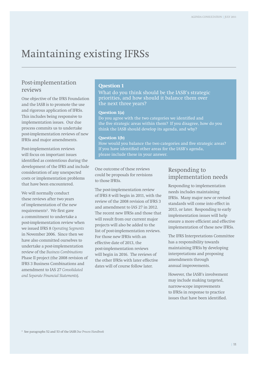# Maintaining existing IFRSs

## Post-implementation reviews

One objective of the IFRS Foundation and the IASB is to promote the use and rigorous application of IFRSs. This includes being responsive to implementation issues. Our due process commits us to undertake post-implementation reviews of new IFRSs and major amendments.

Post-implementation reviews will focus on important issues identified as contentious during the development of the IFRS and include consideration of any unexpected costs or implementation problems that have been encountered.

We will normally conduct these reviews after two years of implementation of the new requirements<sup>3</sup>. We first gave a commitment to undertake a post-implementation review when we issued IFRS 8 *Operating Segments* in November 2006. Since then we have also committed ourselves to undertake a post-implementation review of the *Business Combinations* Phase II project (the 2008 revision of IFRS 3 Business Combinations and amendment to IAS 27 *Consolidated and Separate Financial Statements*).

### **Question 1**

**What do you think should be the IASB's strategic priorities, and how should it balance them over the next three years?**

#### **Question 1(a)**

Do you agree with the two categories we identified and the five strategic areas within them? If you disagree, how do you **think the IASB should develop its agenda, and why?**

#### **Question 1(b)**

How would you balance the two categories and five strategic areas? If you have identified other areas for the IASB's agenda, **please include these in your answer.**

One outcome of these reviews could be proposals for revisions to those IFRSs.

The post-implementation review of IFRS 8 will begin in 2011, with the review of the 2008 revision of IFRS 3 and amendment to IAS 27 in 2012. The recent new IFRSs and those that will result from our current major projects will also be added to the list of post-implementation reviews. For those new IFRSs with an effective date of 2013, the post-implementation reviews will begin in 2016. The reviews of the other IFRSs with later effective dates will of course follow later.

## Responding to implementation needs

Responding to implementation needs includes maintaining IFRSs. Many major new or revised standards will come into effect in 2013, or later. Responding to early implementation issues will help ensure a more efficient and effective implementation of these new IFRSs.

The IFRS Interpretations Committee has a responsibility towards maintaining IFRSs by developing interpretations and proposing amendments through annual improvements.

However, the IASB's involvement may include making targeted, narrow-scope improvements to IFRSs in response to practice issues that have been identified.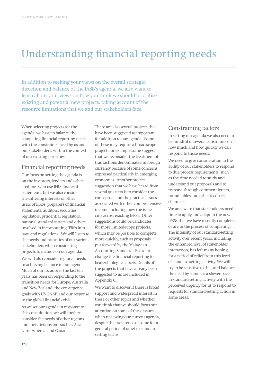# Understanding financial reporting needs

**In addition to seeking your views on the overall strategic direction and balance of the IASB's agenda, we also want to learn about your views on how you think we should prioritise existing and potential new projects, taking account of the resource limitations that we and our stakeholders face.**

When selecting projects for the agenda, we have to balance the competing financial reporting needs with the constraints faced by us and our stakeholders, within the context of our existing priorities.

## Financial reporting needs

Our focus on setting the agenda is on the investors, lenders and other creditors who use IFRS financial statements, but we also consider the differing interests of other users of IFRSs: preparers of financial statements, auditors, securities regulators, prudential regulators, national standard-setters and others involved in incorporating IFRSs into laws and regulations. We will listen to the needs and priorities of our various stakeholders when considering projects to include on our agenda.

We will also consider regional needs in achieving balance in our agenda. Much of our focus over the last ten years has been on responding to the transition needs for Europe, Australia and New Zealand, the convergence goals with US GAAP, and our response to the global financial crisis

As we set our agenda in response to this consultation, we will further consider the needs of other regions and jurisdictions too, such as Asia, Latin America and Canada.

There are also several projects that have been suggested as important for addition to our agenda. Some of these may require a broad-scope project; for example some suggest that we reconsider the treatment of transactions denominated in foreign currency because of some concerns expressed particularly in emerging economies. Another project suggestion that we have heard from several quarters is to consider the conceptual and the practical issues associated with other comprehensive income including how the issue cuts across existing IFRSs. Other suggestions could be candidates for more limited-scope projects, which may be possible to complete more quickly, such as proposals put forward by the Malaysian Accounting Standards Board to change the financial reporting for bearer biological assets. Details of the projects that have already been suggested to us are included in Appendix C.

We want to discover if there is broad support and widespread interest in these or other topics and whether you think that we should focus our attention on some of these issues when reviewing our current agenda, despite the preference of some for a general period of quiet in standardsetting terms.

## Constraining factors

In setting our agenda we also need to be mindful of several constraints on how much and how quickly we can respond to those needs.

We need to give consideration to the ability of our stakeholders to respond to due process requirements, such as the time needed to study and understand our proposals and to respond through comment letters, round tables and other feedback channels.

We are aware that stakeholders need time to apply and adapt to the new IFRSs that we have recently completed or are in the process of completing. The intensity of our standard-setting activity over recent years, including the enhanced level of stakeholder interaction, has left many hoping for a period of relief from this level of standard-setting activity. We will try to be sensitive to this, and balance the need by some for a slower pace in standard-setting activity with the perceived urgency for us to respond to requests for standard-setting action in some areas.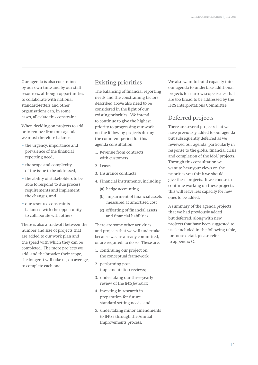Our agenda is also constrained by our own time and by our staff resources, although opportunities to collaborate with national standard-setters and other organisations can, in some cases, alleviate this constraint.

When deciding on projects to add or to remove from our agenda, we must therefore balance:

- the urgency, importance and prevalence of the financial reporting need,
- the scope and complexity of the issue to be addressed,
- the ability of stakeholders to be able to respond to due process requirements and implement the changes, and
- our resource constraints balanced with the opportunity to collaborate with others.

There is also a trade-off between the number and size of projects that are added to our work plan and the speed with which they can be completed. The more projects we add, and the broader their scope, the longer it will take us, on average, to complete each one.

## Existing priorities

The balancing of financial reporting needs and the constraining factors described above also need to be considered in the light of our existing priorities. We intend to continue to give the highest priority to progressing our work on the following projects during the comment period for this agenda consultation:

- 1. Revenue from contracts with customers
- 2. Leases
- 3. Insurance contracts
- 4. Financial instruments, including
	- (a) hedge accounting
	- (b) impairment of financial assets measured at amortised cost
	- (c) offsetting of financial assets and financial liabilities.

There are some other activities and projects that we will undertake because we are already committed, or are required, to do so. These are:

- 1. continuing our project on the conceptual framework;
- 2. performing postimplementation reviews;
- 3. undertaking our three-yearly review of the *IFRS for SMEs*;
- 4. investing in research in preparation for future standard-setting needs; and
- 5. undertaking minor amendments to IFRSs through the Annual Improvements process.

We also want to build capacity into our agenda to undertake additional projects for narrow-scope issues that are too broad to be addressed by the IFRS Interpretations Committee.

## Deferred projects

There are several projects that we have previously added to our agenda but subsequently deferred as we reviewed our agenda, particularly in response to the global financial crisis and completion of the MoU projects. Through this consultation we want to hear your views on the priorities you think we should give these projects. If we choose to continue working on these projects, this will leave less capacity for new ones to be added.

A summary of the agenda projects that we had previously added but deferred, along with new projects that have been suggested to us, is included in the following table, for more detail, please refer to appendix C.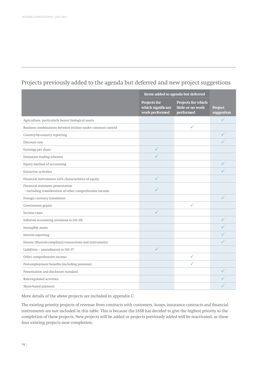## Projects previously added to the agenda but deferred and new project suggestions

|                                                                                             | Items added to agenda but deferred                         |                                                      |                       |
|---------------------------------------------------------------------------------------------|------------------------------------------------------------|------------------------------------------------------|-----------------------|
|                                                                                             | <b>Projects for</b><br>which significant<br>work performed | Projects for which<br>little or no work<br>performed | Project<br>suggestion |
| Agriculture, particularly bearer biological assets                                          |                                                            |                                                      | $\checkmark$          |
| Business combinations between entities under common control                                 |                                                            | $\checkmark$                                         |                       |
| Country-by-country reporting                                                                |                                                            |                                                      | ✓                     |
| Discount rate                                                                               |                                                            |                                                      |                       |
| Earnings per share                                                                          | ✓                                                          |                                                      |                       |
| Emissions trading schemes                                                                   | ✓                                                          |                                                      |                       |
| Equity method of accounting                                                                 |                                                            |                                                      |                       |
| <b>Extractive activities</b>                                                                |                                                            |                                                      |                       |
| Financial instruments with characteristics of equity                                        |                                                            |                                                      |                       |
| Financial statement presentation<br>- excluding consideration of other comprehensive income |                                                            |                                                      |                       |
| Foreign currency translation                                                                |                                                            |                                                      | ✓                     |
| Government grants                                                                           |                                                            | $\checkmark$                                         |                       |
| Income taxes                                                                                | $\checkmark$                                               |                                                      |                       |
| Inflation accounting (revisions to IAS 29)                                                  |                                                            |                                                      | ✓                     |
| Intangible assets                                                                           |                                                            |                                                      |                       |
| Interim reporting                                                                           |                                                            |                                                      |                       |
| Islamic (Shariah-compliant) transactions and instruments                                    |                                                            |                                                      |                       |
| Liabilities - amendments to IAS 37                                                          | ✓                                                          |                                                      |                       |
| Other comprehensive income                                                                  |                                                            | $\checkmark$                                         |                       |
| Post-employment benefits (including pensions)                                               |                                                            | ✓                                                    |                       |
| Presentation and disclosure standard                                                        |                                                            |                                                      | ✓                     |
| Rate-regulated activities                                                                   |                                                            |                                                      |                       |
| Share-based payment                                                                         |                                                            |                                                      |                       |

More details of the above projects are included in appendix C.

The existing priority projects of revenue from contracts with customers, leases, insurance contracts and financial instruments are not included in this table. This is because the IASB has decided to give the highest priority to the completion of these projects. New projects will be added or projects previously added will be reactivated, as these four existing projects near completion.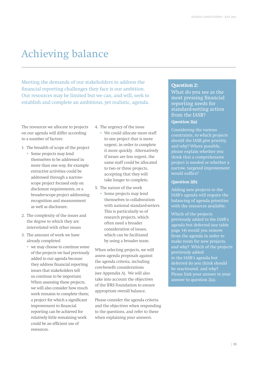# Achieving balance

**Meeting the demands of our stakeholders to address the**  financial reporting challenges they face is our ambition. **Our resources may be limited but we can, and will, seek to establish and complete an ambitious, yet realistic, agenda.**

The resources we allocate to projects on our agenda will differ according to a number of factors:

- 1. The breadth of scope of the project
	- Some projects may lend themselves to be addressed in more than one way, for example extractive activities could be addressed through a narrowscope project focused only on disclosure requirements, or a broader-scope project addressing recognition and measurement as well as disclosure.
- 2. The complexity of the issues and the degree to which they are interrelated with other issues
- 3. The amount of work we have already completed
	- we may choose to continue some of the projects we had previously added to our agenda because they address financial reporting issues that stakeholders tell us continue to be important. When assessing these projects, we will also consider how much work remains to complete them; a project for which a significant improvement to financial reporting can be achieved for relatively little remaining work could be an efficient use of resources.
- 4. The urgency of the issue
	- We could allocate more staff to one project that is more urgent, in order to complete it more quickly. Alternatively if issues are less urgent, the same staff could be allocated to two or three projects, accepting that they will take longer to complete.
- 5. The nature of the work
	- Some projects may lend themselves to collaboration with national standard-setters. This is particularly so of research projects, which often need a broader consideration of issues, which can be facilitated by using a broader team.

When selecting projects, we will assess agenda proposals against the agenda criteria, including cost-benefit considerations (see Appendix A). We will also take into account the objectives of the IFRS Foundation to ensure appropriate overall balance.

Please consider the agenda criteria and the objectives when responding to the questions, and refer to these when explaining your answers.

## **Question 2:**

**What do you see as the most pressing financial reporting needs for standard-setting action from the IASB? Question 2(a)**

**Considering the various constraints, to which projects should the IASB give priority, and why? Where possible, please explain whether you think that a comprehensive project is needed or whether a narrow, targeted improvement**  would suffice?

### **Question 2(b)**

**Adding new projects to the IASB's agenda will require the balancing of agenda priorities with the resources available.** 

**Which of the projects previously added to the IASB's agenda but deferred (see table page 14) would you remove from the agenda in order to make room for new projects, and why? Which of the projects previously added to the IASB's agenda but deferred do you think should be reactivated, and why? Please link your answer to your answer to question 2(a).**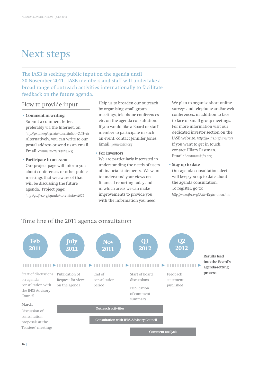## Next steps

**The IASB is seeking public input on the agenda until 30 November 2011. IASB members and staff will undertake a broad range of outreach activities internationally to facilitate feedback on the future agenda.**

## How to provide input

### **• Comment in writing**

Submit a comment letter, preferably via the Internet, on *http://go.ifrs.org/agenda+consultation+2011+cls* Alternatively, you can write to our postal address or send us an email. Email: *commentletters@ifrs.org*

**• Participate in an event**  Our project page will inform you about conferences or other public meetings that we aware of that will be discussing the future agenda. Project page: *http://go.ifrs.org/agenda+consultation2011*

Help us to broaden our outreach by organising small group meetings, telephone conferences etc. on the agenda consultation. If you would like a Board or staff member to participate in such an event, contact Jennifer Jones. Email: *jjones@ifrs.org*

**• For investors**

We are particularly interested in understanding the needs of users of financial statements. We want to understand your views on financial reporting today and in which areas we can make improvements to provide you with the information you need.

We plan to organise short online surveys and telephone and/or web conferences, in addition to face to face or small group meetings. For more information visit our dedicated investor section on the IASB website. *http://go.ifrs.org/investors* If you want to get in touch, contact Hilary Eastman. Email: *heastman@ifrs.org*

**• Stay up to date**

Our agenda consultation alert will keep you up to date about the agenda consultation. To register, go to: *http://www.ifrs.org/IASB+Registration.htm*

## Time line of the 2011 agenda consultation

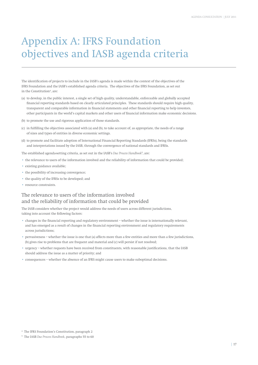# Appendix A: IFRS Foundation objectives and IASB agenda criteria

The identification of projects to include in the IASB's agenda is made within the context of the objectives of the IFRS Foundation and the IASB's established agenda criteria. The objectives of the IFRS Foundation, as set out in the Constitution<sup>4</sup>, are:

- (a) to develop, in the public interest, a single set of high quality, understandable, enforceable and globally accepted financial reporting standards based on clearly articulated principles. These standards should require high quality, transparent and comparable information in financial statements and other financial reporting to help investors, other participants in the world's capital markets and other users of financial information make economic decisions.
- (b) to promote the use and rigorous application of those standards.
- (c) in fulfi lling the objectives associated with (a) and (b), to take account of, as appropriate, the needs of a range of sizes and types of entities in diverse economic settings.
- (d) to promote and facilitate adoption of International Financial Reporting Standards (IFRSs), being the standards and interpretations issued by the IASB, through the convergence of national standards and IFRSs.

The established agenda-setting criteria, as set out in the IASB's *Due Process Handbook*<sup>5</sup> , are:

- the relevance to users of the information involved and the reliability of information that could be provided;
- existing guidance available;
- the possibility of increasing convergence;
- the quality of the IFRSs to be developed; and
- resource constraints.

## The relevance to users of the information involved and the reliability of information that could be provided

The IASB considers whether the project would address the needs of users across different jurisdictions, taking into account the following factors:

- changes in the financial reporting and regulatory environment whether the issue is internationally relevant, and has emerged as a result of changes in the financial reporting environment and regulatory requirements across jurisdictions;
- pervasiveness whether the issue is one that (a) affects more than a few entities and more than a few jurisdictions, (b) gives rise to problems that are frequent and material and (c) will persist if not resolved;
- urgency whether requests have been received from constituents, with reasonable justifications, that the IASB should address the issue as a matter of priority; and
- consequences whether the absence of an IFRS might cause users to make suboptimal decisions.

<sup>4</sup> The IFRS Foundation's Constitution, paragraph 2

<sup>5</sup> The IASB *Due Process Handbook*, paragraphs 55 to 60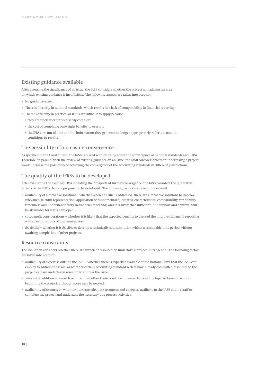### Existing guidance available

After assessing the significance of an issue, the IASB considers whether the project will address an area on which existing guidance is insufficient. The following aspects are taken into account:

- No guidance exists.
- There is diversity in national standards, which results in a lack of comparability in financial reporting.
- There is diversity in practice, or IFRSs are difficult to apply because
- they are unclear or unnecessarily complex;
- the cost of complying outweighs benefits to users; or
- the IFRSs are out of date and the information they generate no longer appropriately reflects economic conditions or results.

### The possibility of increasing convergence

As specified in the Constitution, the IASB is tasked with bringing about the convergence of national standards and IFRSs. Therefore, in parallel with the review of existing guidance on an issue, the IASB considers whether undertaking a project would increase the possibility of achieving the convergence of the accounting standards in different jurisdictions.

#### The quality of the IFRSs to be developed

After evaluating the existing IFRSs including the prospects of further convergence, the IASB considers the qualitative aspects of the IFRSs that are proposed to be developed. The following factors are taken into account:

- availability of alternative solutions whether when an issue is addressed, there are alternative solutions to improve relevance, faithful representation, application of fundamental qualitative characteristics, comparability, verifiability, timeliness and understandability in financial reporting, and it is likely that sufficient IASB support and approval will be attainable for IFRSs developed.
- cost-benefit considerations whether it is likely that the expected benefits to users of the improved financial reporting will exceed the costs of implementation.
- feasibility whether it is feasible to develop a technically sound solution within a reasonable time period without awaiting completion of other projects.

#### Resource constraints

The IASB then considers whether there are sufficient resources to undertake a project in its agenda. The following factors are taken into account:

- availability of expertise outside the IASB whether there is expertise available at the national level that the IASB can employ to address the issue; or whether certain accounting standard-setters have already committed resources to the project or have undertaken research to address the issue.
- amount of additional research required whether there is sufficient research about the topic to form a basis for beginning the project, although more may be needed.
- availability of resources whether there are adequate resources and expertise available to the IASB and its staff to complete the project and undertake the necessary due process activities.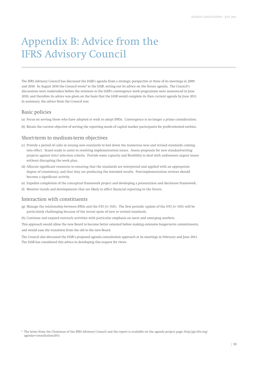# Appendix B: Advice from the IFRS Advisory Council

The IFRS Advisory Council has discussed the IASB's agenda from a strategic perspective at three of its meetings in 2009 and 2010. In August 2010 the Council wrote<sup>6</sup> to the IASB, setting out its advice on the future agenda. The Council's discussions were undertaken before the revisions to the IASB's convergence work programme were announced in June 2010, and therefore its advice was given on the basis that the IASB would complete its then current agenda by June 2011. In summary, the advice from the Council was:

### Basic policies

- (a) Focus on serving those who have adopted or wish to adopt IFRSs. Convergence is no longer a prime consideration.
- (b) Retain the current objective of serving the reporting needs of capital market participants for profit-oriented entities.

### Short-term to medium-term objectives

- (c) Provide a period of calm in issuing new standards to bed down the numerous new and revised standards coming into effect. Stand ready to assist in resolving implementation issues. Assess proposals for new standard-setting projects against strict selection criteria. Provide some capacity and flexibility to deal with unforeseen urgent issues without disrupting the work plan.
- (d) Allocate significant resources to ensuring that the standards are interpreted and applied with an appropriate degree of consistency, and that they are producing the intended results. Post-implementation reviews should become a significant activity.
- (e) Expedite completion of the conceptual framework project and developing a presentation and disclosure framework.
- (f) Monitor trends and developments that are likely to affect financial reporting in the future.

#### Interaction with constituents

- (g) Manage the relationship between IFRSs and the *IFRS for SMEs*. The first periodic update of the *IFRS for SMEs* will be particularly challenging because of the recent spate of new or revised standards.
- (h) Continue and expand outreach activities with particular emphasis on users and emerging markets.

This approach would allow the new Board to become better oriented before making extensive longer-term commitments, and would ease the transition from the old to the new Board.

The Council also discussed the IASB's proposed agenda consultation approach at its meetings in February and June 2011. The IASB has considered this advice in developing this request for views.

<sup>&</sup>lt;sup>6</sup> The letter from the Chairman of the IFRS Advisory Council and the report is available on the agenda project page: http://go.ifrs.org/ agenda+consultation2011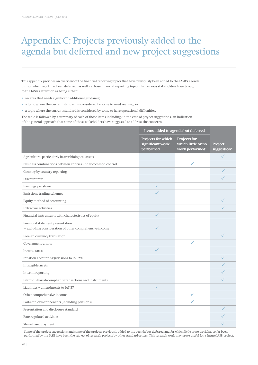## Appendix C: Projects previously added to the agenda but deferred and new project suggestions

This appendix provides an overview of the financial reporting topics that have previously been added to the IASB's agenda but for which work has been deferred, as well as those financial reporting topics that various stakeholders have brought to the IASB's attention as being either:

- an area that needs significant additional guidance;
- a topic where the current standard is considered by some to need revising; or
- a topic where the current standard is considered by some to have operational difficulties.

The table is followed by a summary of each of those items including, in the case of project suggestions, an indication of the general approach that some of those stakeholders have suggested to address the concerns.

|                                                                                             | Items added to agenda but deferred                  |                                                                   |                                           |
|---------------------------------------------------------------------------------------------|-----------------------------------------------------|-------------------------------------------------------------------|-------------------------------------------|
|                                                                                             | Projects for which<br>significant work<br>performed | Projects for<br>which little or no<br>work performed <sup>1</sup> | <b>Project</b><br>suggestion <sup>1</sup> |
| Agriculture, particularly bearer biological assets                                          |                                                     |                                                                   | $\checkmark$                              |
| Business combinations between entities under common control                                 |                                                     | ✓                                                                 |                                           |
| Country-by-country reporting                                                                |                                                     |                                                                   |                                           |
| Discount rate                                                                               |                                                     |                                                                   |                                           |
| Earnings per share                                                                          | ✓                                                   |                                                                   |                                           |
| Emissions trading schemes                                                                   | ✓                                                   |                                                                   |                                           |
| Equity method of accounting                                                                 |                                                     |                                                                   | ✓                                         |
| <b>Extractive activities</b>                                                                |                                                     |                                                                   |                                           |
| Financial instruments with characteristics of equity                                        | $\checkmark$                                        |                                                                   |                                           |
| Financial statement presentation<br>- excluding consideration of other comprehensive income |                                                     |                                                                   |                                           |
| Foreign currency translation                                                                |                                                     |                                                                   |                                           |
| Government grants                                                                           |                                                     | ✓                                                                 |                                           |
| Income taxes                                                                                | $\checkmark$                                        |                                                                   |                                           |
| Inflation accounting (revisions to IAS 29)                                                  |                                                     |                                                                   | $\checkmark$                              |
| Intangible assets                                                                           |                                                     |                                                                   |                                           |
| Interim reporting                                                                           |                                                     |                                                                   |                                           |
| Islamic (Shariah-compliant) transactions and instruments                                    |                                                     |                                                                   |                                           |
| Liabilities - amendments to IAS 37                                                          | $\checkmark$                                        |                                                                   |                                           |
| Other comprehensive income                                                                  |                                                     | ✓                                                                 |                                           |
| Post-employment benefits (including pensions)                                               |                                                     |                                                                   |                                           |
| Presentation and disclosure standard                                                        |                                                     |                                                                   | $\checkmark$                              |
| Rate-regulated activities                                                                   |                                                     |                                                                   |                                           |
| Share-based payment                                                                         |                                                     |                                                                   |                                           |

<sup>1</sup> Some of the project suggestions and some of the projects previously added to the agenda but deferred and for which little or no work has so far been performed by the IASB have been the subject of research projects by other standard-setters. This research work may prove useful for a future IASB project.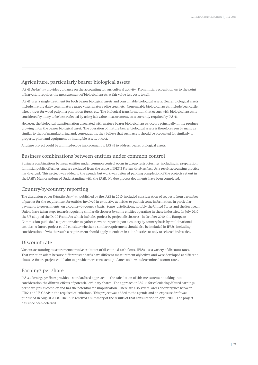## Agriculture, particularly bearer biological assets

IAS 41 *Agriculture* provides guidance on the accounting for agricultural activity. From initial recognition up to the point of harvest, it requires the measurement of biological assets at fair value less costs to sell.

IAS 41 uses a single treatment for both bearer biological assets and consumable biological assets. Bearer biological assets include mature dairy cows, mature grape vines, mature olive trees, etc. Consumable biological assets include beef cattle, wheat, trees for wood pulp in a plantation forest, etc. The biological transformation that occurs with biological assets is considered by many to be best reflected by using fair value measurement, as is currently required by IAS 41.

However, the biological transformation associated with mature bearer biological assets occurs principally in the produce growing in/on the bearer biological asset. The operation of mature bearer biological assets is therefore seen by many as similar to that of manufacturing and, consequently, they believe that such assets should be accounted for similarly to property, plant and equipment or intangible assets, at cost.

A future project could be a limited-scope improvement to IAS 41 to address bearer biological assets.

### Business combinations between entities under common control

Business combinations between entities under common control occur in group restructurings, including in preparation for initial public offerings, and are excluded from the scope of IFRS 3 *Business Combinations*. As a result accounting practice has diverged. This project was added to the agenda but work was deferred pending completion of the projects set out in the IASB's Memorandum of Understanding with the FASB. No due process documents have been completed.

#### Country-by-country reporting

The discussion paper *Extractive Activities*, published by the IASB in 2010, included consideration of requests from a number of parties for the requirement for entities involved in extractive activities to publish some information, in particular payments to governments, on a country-by-country basis. Some jurisdictions, notably the United States and the European Union, have taken steps towards requiring similar disclosures by some entities operating in these industries. In July 2010 the US adopted the Dodd-Frank Act which includes project-by-project disclosures. In October 2010, the European Commission published a questionnaire to gather views on reporting on a country-by-country basis by multi-national entities. A future project could consider whether a similar requirement should also be included in IFRSs, including consideration of whether such a requirement should apply to entities in all industries or only to selected industries.

#### Discount rate

Various accounting measurements involve estimates of discounted cash flows. IFRSs use a variety of discount rates. That variation arises because different standards have different measurement objectives and were developed at different times. A future project could aim to provide more consistent guidance on how to determine discount rates.

### Earnings per share

IAS 33 *Earnings per Share* provides a standardised approach to the calculation of this measurement, taking into consideration the dilutive effects of potential ordinary shares. The approach in IAS 33 for calculating diluted earnings per share (eps) is complex and has the potential for simplification. There are also several areas of divergence between IFRSs and US GAAP in the required calculations. This project was added to the agenda and an exposure draft was published in August 2008. The IASB received a summary of the results of that consultation in April 2009. The project has since been deferred.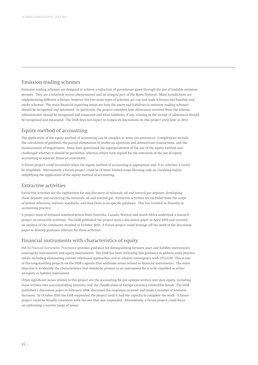### Emission trading schemes

Emission trading schemes are designed to achieve a reduction of greenhouse gases through the use of tradable emission permits. They are a relatively recent phenomenon and an integral part of the Kyoto Protocol. Many jurisdictions are implementing different schemes, however the two main types of schemes are cap and trade schemes and baseline and credit schemes. The main financial reporting issues are how the assets and liabilities in emission trading schemes should be recognised and measured. In particular, the project considers how allowances received from the scheme administrator should be recognised and measured and what liabilities, if any, relating to the receipt of allowances should be recognised and measured. The IASB does not expect to reopen its discussions on this project until later in 2011.

## Equity method of accounting

The application of the equity method of accounting can be complex in some circumstances. Complexities include the calculation of goodwill, the partial elimination of profits on upstream and downstream transactions, and the measurement of impairment. Some have questioned the appropriateness of the use of the equity method and challenged whether it should be permitted, whereas others have argued for the extension of the use of equity accounting to separate financial statements.

A future project could reconsider when the equity method of accounting is appropriate and, if so, whether it could be simplified. Alternatively a future project could be of more limited scope focusing only on clarifying and/or simplifying the application of the equity method of accounting.

### Extractive activities

Extractive activities are the exploration for and discovery of minerals, oil and natural gas deposits, developing those deposits and extracting the minerals, oil and natural gas. Extractive activities are excluded from the scope of several otherwise relevant standards, and thus there is no specific guidance. This has resulted in diversity in accounting practice.

A project team of national standard-setters from Australia, Canada, Norway and South Africa undertook a research project on extractive activities. The IASB published the project team's discussion paper in April 2010 and received an analysis of the comments received in October 2010. A future project could leverage off the work of the discussion paper to develop guidance relevant for these activities.

### Financial instruments with characteristics of equity

IAS 32 *Financial Instruments: Presentation* provides guidance for distinguishing between asset and liability instruments (non-equity instruments) and equity instruments. The IASB has been reviewing this guidance to address some practice issues, including eliminating current rule-based approaches, and to achieve convergence with US GAAP. This is one of the long-standing projects on the IASB's agenda that addresses issues related to financial instruments. The main objective is to identify the characteristics that should be present in an instrument for it to be classified as either an equity or liability instrument.

Other significant issues related to this project are the accounting for put options written over own equity, including those written over non-controlling interests, and the classification of foreign currency convertible bonds. The IASB published a discussion paper in February 2008, discussed the responses received and made a number of tentative decisions. In October 2010 the IASB suspended the project until it had the capacity to complete the work. A future project could be broadly consistent with the one that was suspended. Alternatively, a future project could focus on addressing a narrow range of issues.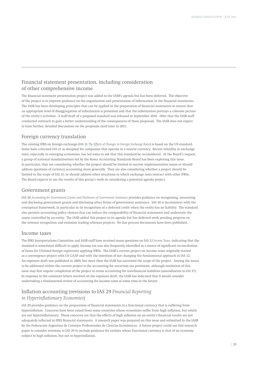## Financial statement presentation, including consideration of other comprehensive income

The financial statement presentation project was added to the IASB's agenda but has been deferred. The objective of the project is to improve guidance on the organisation and presentation of information in the financial statements. The IASB has been developing principles that can be applied in the preparation of financial statements to ensure that an appropriate level of disaggregation of information is presented and that the information portrays a cohesive picture of the entity's activities. A staff draft of a proposed standard was released in September 2010. After that the IASB staff conducted outreach to gain a better understanding of the consequences of these proposals. The IASB does not expect to have further, detailed discussions on the proposals until later in 2011.

### Foreign currency translation

The existing IFRS on foreign exchange (IAS 21 *The Effects of Changes in Foreign Exchange Rates*) is based on the US standard. Some have criticised IAS 21 as designed for companies that operate in a reserve currency. Recent volatility in exchange rates, especially in emerging economies, has led some to ask that this standard be reconsidered. At the Board's request, a group of national standard-setters led by the Korea Accounting Standards Board has been exploring this issue. In particular, they are considering whether the project should be limited to narrow implementation issues or should address questions of currency accounting more generally. They are also considering whether a project should be limited to the scope of IAS 21, or should address other situations in which exchange rates interact with other IFRSs. The Board expects to use the results of this group's work in considering a potential agenda project.

### Government grants

IAS 20 *Accounting for Government Grants and Disclosure of Government Assistance* provides guidance on recognising, measuring and disclosing government grants and disclosing other forms of government assistance. IAS 20 is inconsistent with the conceptual framework, in particular in its recognition of a deferred credit when the entity has no liability. The standard also permits accounting policy choices that can reduce the comparability of financial statements and understate the assets controlled by an entity. The IASB added this project to its agenda but has deferred work pending progress on the revenue recognition and emission trading schemes projects. No due process documents have been published.

### Income taxes

The IFRS Interpretations Committee and IASB staff have received many questions on IAS 12 *Income Taxes*, indicating that the standard is sometimes difficult to apply. Income tax was also frequently identified as a source of significant reconciliation of items for US-listed foreign registrants applying IFRSs. The IASB's current project on income taxes originally started as a convergence project with US GAAP and with the intention of not changing the fundamental approach in IAS 12. An exposure draft was published in 2009, but since then the IASB has narrowed the scope of the project. Among the issues to be addressed within the current project is the accounting for uncertain tax provisions, although resolution of this issue may first require completion of the project to revise accounting for non-financial liabilities (amendments to IAS 37). In response to the comment letters received on the exposure draft, the IASB has indicated that it would consider undertaking a fundamental review of accounting for income taxes at some time in the future.

## Inflation accounting (revisions to IAS 29 *Financial Reporting in Hyperinflationary Economies*)

IAS 29 provides guidance on the preparation of financial statements in a functional currency that is suffering from hyperinflation. Concerns have been raised from some countries whose economies suffer from high inflation, but which are not hyperinflationary. Those concerns are that the effects of high inflation on an entity's financial results are not adequately reflected in IFRS financial statements. A research paper was prepared on this issue and submitted to the IASB by the Federación Argentina de Consejos Profesionales de Ciencias Económicas. A future project could use this research paper to consider revisions to IAS 29 to include guidance for entities whose functional currency is that of an economy subject to high inflation, but not to hyperinflation.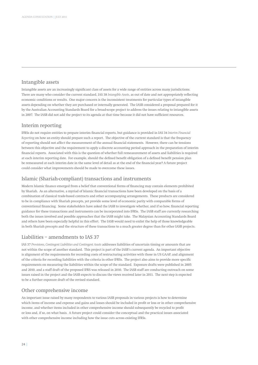### Intangible assets

Intangible assets are an increasingly significant class of assets for a wide range of entities across many jurisdictions. There are many who consider the current standard, IAS 38 *Intangible Assets*, as out of date and not appropriately reflecting economic conditions or results. One major concern is the inconsistent treatments for particular types of intangible assets depending on whether they are purchased or internally generated. The IASB considered a proposal prepared for it by the Australian Accounting Standards Board for a broad-scope project to address the issues relating to intangible assets in 2007. The IASB did not add the project to its agenda at that time because it did not have sufficient resources.

### Interim reporting

IFRSs do not require entities to prepare interim financial reports, but guidance is provided in IAS 34 *Interim Financial Reporting* on how an entity should prepare such a report. The objective of the current standard is that the frequency of reporting should not affect the measurement of the annual financial statements. However, there can be tensions between this objective and the requirement to apply a discrete accounting period approach in the preparation of interim financial reports. Associated with this is the question of whether full remeasurement of assets and liabilities is required at each interim reporting date. For example, should the defined benefit obligation of a defined benefit pension plan be remeasured at each interim date in the same level of detail as at the end of the financial year? A future project could consider what improvements should be made to overcome these issues.

### Islamic (Shariah-compliant) transactions and instruments

Modern Islamic finance emerged from a belief that conventional forms of financing may contain elements prohibited by Shariah. As an alternative, a myriad of Islamic financial transactions have been developed on the basis of a combination of classical trade-based contracts and other accompanying arrangements. These products are considered to be in compliance with Shariah precepts, yet provide some level of economic parity with comparable forms of conventional financing. Some stakeholders have asked the IASB to investigate whether, and if so how, financial reporting guidance for these transactions and instruments can be incorporated into IFRSs. The IASB staff are currently researching both the issues involved and possible approaches that the IASB might take. The Malaysian Accounting Standards Board and others have been especially helpful in this effort. The IASB would need to enlist the help of those knowledgeable in both Shariah precepts and the structure of these transactions to a much greater degree than for other IASB projects.

### Liabilities – amendments to IAS 37

IAS 37 *Provisions, Contingent Liabilities and Contingent Assets* addresses liabilities of uncertain timing or amounts that are not within the scope of another standard. This project is part of the IASB's current agenda. An important objective is alignment of the requirements for recording costs of restructuring activities with those in US GAAP, and alignment of the criteria for recording liabilities with the criteria in other IFRSs. The project also aims to provide more specific requirements on measuring the liabilities within the scope of the standard. Exposure drafts were published in 2005 and 2010, and a staff draft of the proposed IFRS was released in 2010. The IASB staff are conducting outreach on some issues raised in the project and the IASB expects to discuss the views received later in 2011. The next step is expected to be a further exposure draft of the revised standard.

### Other comprehensive income

An important issue raised by many respondents to various IASB proposals in various projects is how to determine which items of income and expense and gains and losses should be included in profit or loss or in other comprehensive income, and whether items included in other comprehensive income should subsequently be recycled to profit or loss and, if so, on what basis. A future project could consider the conceptual and the practical issues associated with other comprehensive income including how the issue cuts across existing IFRSs.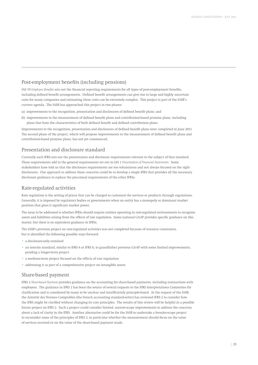## Post-employment benefits (including pensions)

IAS 19 *Employee Benefits* sets out the financial reporting requirements for all types of post-employment benefits, including defined benefit arrangements. Defined benefit arrangements can give rise to large and highly uncertain costs for many companies and estimating these costs can be extremely complex. This project is part of the IASB's current agenda. The IASB has approached this project in two phases:

- (a) improvements to the recognition, presentation and disclosures of defined benefit plans; and
- (b) improvements to the measurement of defined benefit plans and contribution-based promise plans, including plans that have the characteristics of both defined benefit and defined contribution plans.

Improvements to the recognition, presentation and disclosures of defined benefit plans were completed in June 2011. The second phase of the project, which will propose improvements to the measurement of defined benefit plans and contribution-based promise plans, has not yet commenced.

## Presentation and disclosure standard

Currently each IFRS sets out the presentation and disclosure requirements relevant to the subject of that standard. These requirements add to the general requirements set out in IAS 1 *Presentation of Financial Statements*. Some stakeholders have told us that the disclosure requirements are too voluminous and not always focused on the right disclosures. One approach to address these concerns could be to develop a single IFRS that provides all the necessary disclosure guidance to replace the piecemeal requirements of the other IFRSs.

## Rate-regulated activities

Rate regulation is the setting of prices that can be charged to customers for services or products through regulations. Generally, it is imposed by regulatory bodies or governments when an entity has a monopoly or dominant market position that gives it significant market power.

The issue to be addressed is whether IFRSs should require entities operating in rate-regulated environments to recognise assets and liabilities arising from the effects of rate regulation. Some national GAAP provides specific guidance on this matter, but there is no equivalent guidance in IFRSs.

The IASB's previous project on rate-regulated activities was not completed because of resource constraints, but it identified the following possible ways forward:

- a disclosure-only standard
- an interim standard, similar to IFRS 4 or IFRS 6, to grandfather previous GAAP with some limited improvements, pending a longer-term project
- a medium-term project focused on the effects of rate regulation
- addressing it as part of a comprehensive project on intangible assets.

### Share-based payment

IFRS 2 *Share-based Payment* provides guidance on the accounting for share-based payments, including transactions with employees. The guidance in IFRS 2 has been the source of several requests to the IFRS Interpretations Committee for clarification and is considered by many to be unclear and insufficiently principle-based. At the request of the IASB, the Autorité des Normes Comptables (the French accounting standard-setter) has reviewed IFRS 2 to consider how the IFRS might be clarified without changing its core principles. The results of this review will be helpful in a possible future project on IFRS 2. Such a project could consider limited, narrow-scope improvements to address the concerns about a lack of clarity in the IFRS. Another alternative could be for the IASB to undertake a broader-scope project to reconsider some of the principles of IFRS 2, in particular whether the measurement should focus on the value of services received or on the value of the share-based payment made.